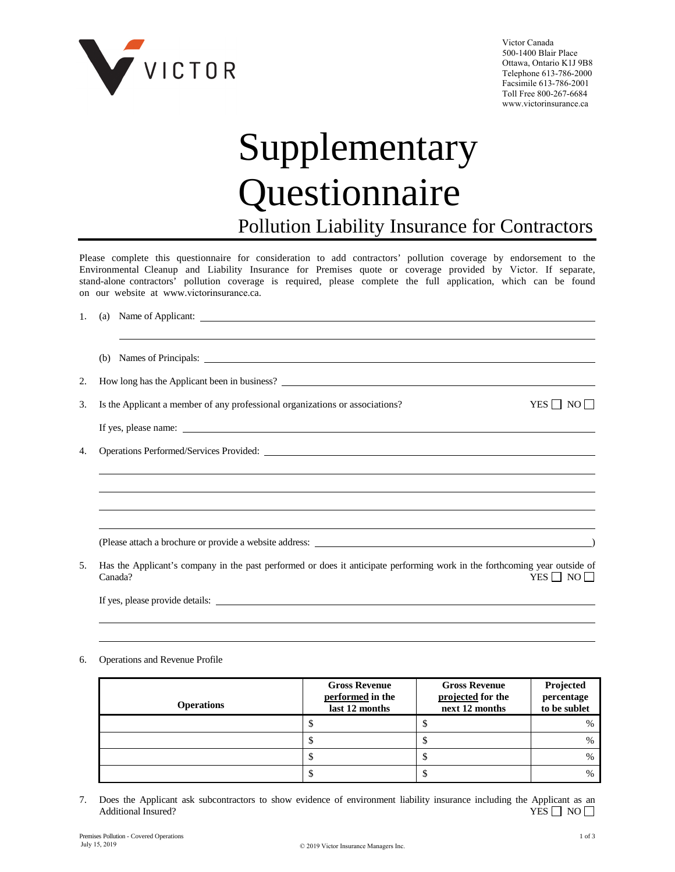

Victor Canada 500-1400 Blair Place Ottawa, Ontario K1J 9B8 Telephone 613-786-2000 Facsimile 613-786-2001 Toll Free 800-267-6684 www.victorinsurance.ca

## Supplementary Questionnaire Pollution Liability Insurance for Contractors

Please complete this questionnaire for consideration to add contractors' pollution coverage by endorsement to the Environmental Cleanup and Liability Insurance for Premises quote or coverage provided by Victor. If separate, stand-alone contractors' pollution coverage is required, please complete the full application, which can be found on our website at www.victorinsurance.ca.

| 1. |  |                                                                                                                                                             |  |  |  |
|----|--|-------------------------------------------------------------------------------------------------------------------------------------------------------------|--|--|--|
|    |  |                                                                                                                                                             |  |  |  |
| 2. |  | How long has the Applicant been in business?                                                                                                                |  |  |  |
| 3. |  | $YES \Box NO \Box$<br>Is the Applicant a member of any professional organizations or associations?                                                          |  |  |  |
|    |  |                                                                                                                                                             |  |  |  |
| 4. |  |                                                                                                                                                             |  |  |  |
|    |  |                                                                                                                                                             |  |  |  |
|    |  |                                                                                                                                                             |  |  |  |
|    |  |                                                                                                                                                             |  |  |  |
|    |  |                                                                                                                                                             |  |  |  |
| 5. |  | Has the Applicant's company in the past performed or does it anticipate performing work in the forthcoming year outside of<br>Canada?<br>$YES \Box NO \Box$ |  |  |  |
|    |  | If yes, please provide details:                                                                                                                             |  |  |  |

6. Operations and Revenue Profile

| <b>Operations</b> | <b>Gross Revenue</b><br>performed in the<br>last 12 months | <b>Gross Revenue</b><br>projected for the<br>next 12 months | Projected<br>percentage<br>to be sublet |
|-------------------|------------------------------------------------------------|-------------------------------------------------------------|-----------------------------------------|
|                   |                                                            |                                                             | $\frac{0}{0}$                           |
|                   |                                                            |                                                             | $\frac{0}{0}$                           |
|                   |                                                            |                                                             | $\frac{0}{0}$                           |
|                   |                                                            |                                                             | $\frac{0}{0}$                           |

7. Does the Applicant ask subcontractors to show evidence of environment liability insurance including the Applicant as an Additional Insured? YES  $\Box$  NO  $\Box$ Additional Insured?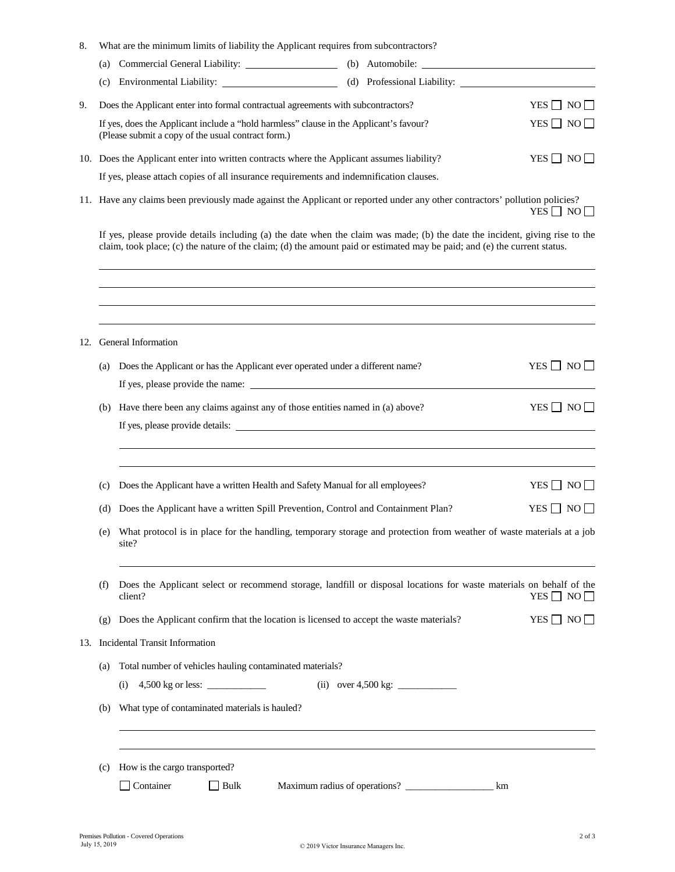| 8.  |                                                                                                                                                                                                                                                           | What are the minimum limits of liability the Applicant requires from subcontractors?                                                         |  |                      |                      |
|-----|-----------------------------------------------------------------------------------------------------------------------------------------------------------------------------------------------------------------------------------------------------------|----------------------------------------------------------------------------------------------------------------------------------------------|--|----------------------|----------------------|
|     | (a)                                                                                                                                                                                                                                                       | Commercial General Liability: ____________________ (b) Automobile: _________________________________                                         |  |                      |                      |
|     | (c)                                                                                                                                                                                                                                                       |                                                                                                                                              |  |                      |                      |
| 9.  |                                                                                                                                                                                                                                                           | Does the Applicant enter into formal contractual agreements with subcontractors?                                                             |  |                      | YES $\Box$ NO $\Box$ |
|     |                                                                                                                                                                                                                                                           | If yes, does the Applicant include a "hold harmless" clause in the Applicant's favour?<br>(Please submit a copy of the usual contract form.) |  |                      | $YES \Box NO \Box$   |
|     |                                                                                                                                                                                                                                                           | 10. Does the Applicant enter into written contracts where the Applicant assumes liability?                                                   |  |                      | YES $\Box$ NO $\Box$ |
|     |                                                                                                                                                                                                                                                           | If yes, please attach copies of all insurance requirements and indemnification clauses.                                                      |  |                      |                      |
|     | 11. Have any claims been previously made against the Applicant or reported under any other contractors' pollution policies?                                                                                                                               |                                                                                                                                              |  | YES $\Box$ NO $\Box$ |                      |
|     | If yes, please provide details including (a) the date when the claim was made; (b) the date the incident, giving rise to the<br>claim, took place; (c) the nature of the claim; (d) the amount paid or estimated may be paid; and (e) the current status. |                                                                                                                                              |  |                      |                      |
|     |                                                                                                                                                                                                                                                           |                                                                                                                                              |  |                      |                      |
|     |                                                                                                                                                                                                                                                           |                                                                                                                                              |  |                      |                      |
|     |                                                                                                                                                                                                                                                           |                                                                                                                                              |  |                      |                      |
| 12. |                                                                                                                                                                                                                                                           | General Information                                                                                                                          |  |                      |                      |
|     | (a)                                                                                                                                                                                                                                                       | Does the Applicant or has the Applicant ever operated under a different name?                                                                |  |                      | $YES \Box NO \Box$   |
|     |                                                                                                                                                                                                                                                           |                                                                                                                                              |  |                      |                      |
|     | (b)                                                                                                                                                                                                                                                       | Have there been any claims against any of those entities named in (a) above?                                                                 |  |                      | $YES \Box NO \Box$   |
|     |                                                                                                                                                                                                                                                           |                                                                                                                                              |  |                      |                      |
|     |                                                                                                                                                                                                                                                           |                                                                                                                                              |  |                      |                      |
|     | (c)                                                                                                                                                                                                                                                       | Does the Applicant have a written Health and Safety Manual for all employees?                                                                |  |                      | $YES \Box NO \Box$   |
|     | (d)                                                                                                                                                                                                                                                       | Does the Applicant have a written Spill Prevention, Control and Containment Plan?                                                            |  |                      | $YES \Box NO$        |
|     | What protocol is in place for the handling, temporary storage and protection from weather of waste materials at a job<br>(e)<br>site?                                                                                                                     |                                                                                                                                              |  |                      |                      |
|     | (f)                                                                                                                                                                                                                                                       | Does the Applicant select or recommend storage, landfill or disposal locations for waste materials on behalf of the<br>client?               |  |                      | YES $\Box$ NO $\Box$ |
|     | (g)                                                                                                                                                                                                                                                       | Does the Applicant confirm that the location is licensed to accept the waste materials?                                                      |  |                      | $YES \Box NO \Box$   |

13. Incidental Transit Information

(a) Total number of vehicles hauling contaminated materials?

(i) 4,500 kg or less: \_\_\_\_\_\_\_\_\_\_\_\_ (ii) over 4,500 kg: \_\_\_\_\_\_\_\_\_\_\_\_

(b) What type of contaminated materials is hauled?

(c) How is the cargo transported?

| :ontainer | Bulk | Maximum radius of operations? | km |
|-----------|------|-------------------------------|----|
|-----------|------|-------------------------------|----|